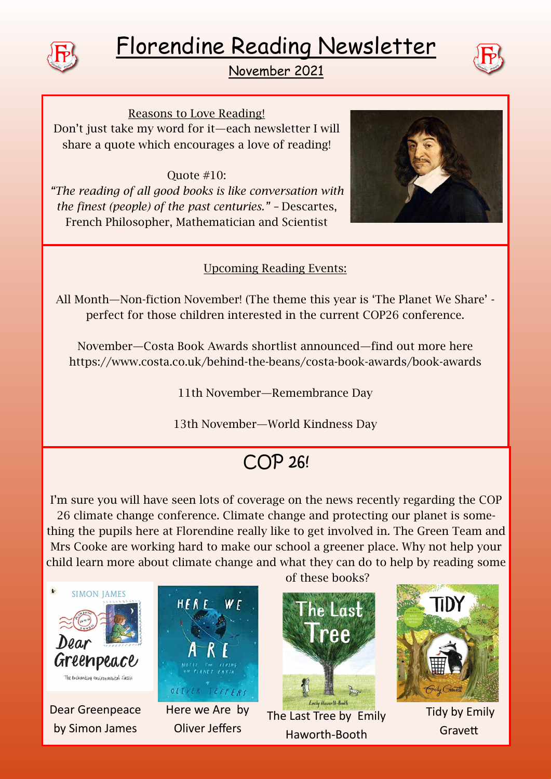

# Florendine Reading Newsletter





Reasons to Love Reading! Don't just take my word for it—each newsletter I will share a quote which encourages a love of reading!

#### Quote #10:

*"The reading of all good books is like conversation with the finest (people) of the past centuries." –* Descartes, French Philosopher, Mathematician and Scientist



### Upcoming Reading Events:

All Month—Non-fiction November! (The theme this year is 'The Planet We Share' perfect for those children interested in the current COP26 conference.

November—Costa Book Awards shortlist announced—find out more here https://www.costa.co.uk/behind-the-beans/costa-book-awards/book-awards

11th November—Remembrance Day

13th November—World Kindness Day

# COP 26!

I'm sure you will have seen lots of coverage on the news recently regarding the COP 26 climate change conference. Climate change and protecting our planet is something the pupils here at Florendine really like to get involved in. The Green Team and Mrs Cooke are working hard to make our school a greener place. Why not help your child learn more about climate change and what they can do to help by reading some



Dear Greenpeace by Simon James



Here we Are by Oliver Jeffers

of these books?



The Last Tree by Emily Haworth-Booth



Tidy by Emily **Gravett**